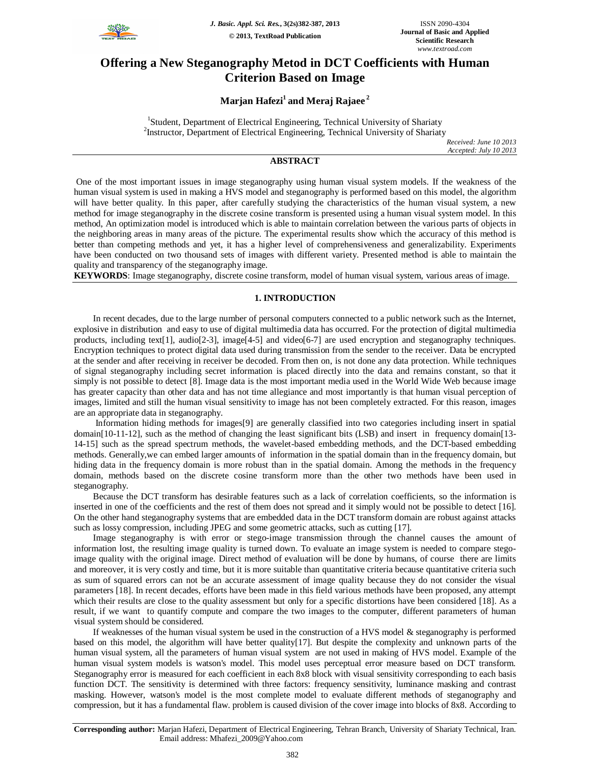

# **Offering a New Steganography Metod in DCT Coefficients with Human Criterion Based on Image**

## **Marjan Hafezi<sup>1</sup>and Meraj Rajaee <sup>2</sup>**

<sup>1</sup>Student, Department of Electrical Engineering, Technical University of Shariaty <sup>2</sup>Instructor, Department of Electrical Engineering, Technical University of Shariaty

*Received: June 10 2013 Accepted: July 10 2013*

## **ABSTRACT**

One of the most important issues in image steganography using human visual system models. If the weakness of the human visual system is used in making a HVS model and steganography is performed based on this model, the algorithm will have better quality. In this paper, after carefully studying the characteristics of the human visual system, a new method for image steganography in the discrete cosine transform is presented using a human visual system model. In this method, An optimization model is introduced which is able to maintain correlation between the various parts of objects in the neighboring areas in many areas of the picture. The experimental results show which the accuracy of this method is better than competing methods and yet, it has a higher level of comprehensiveness and generalizability. Experiments have been conducted on two thousand sets of images with different variety. Presented method is able to maintain the quality and transparency of the steganography image.

**KEYWORDS**: Image steganography, discrete cosine transform, model of human visual system, various areas of image.

## **1. INTRODUCTION**

In recent decades, due to the large number of personal computers connected to a public network such as the Internet, explosive in distribution and easy to use of digital multimedia data has occurred. For the protection of digital multimedia products, including text[1], audio[2-3], image[4-5] and video[6-7] are used encryption and steganography techniques. Encryption techniques to protect digital data used during transmission from the sender to the receiver. Data be encrypted at the sender and after receiving in receiver be decoded. From then on, is not done any data protection. While techniques of signal steganography including secret information is placed directly into the data and remains constant, so that it simply is not possible to detect [8]. Image data is the most important media used in the World Wide Web because image has greater capacity than other data and has not time allegiance and most importantly is that human visual perception of images, limited and still the human visual sensitivity to image has not been completely extracted. For this reason, images are an appropriate data in steganography.

Information hiding methods for images[9] are generally classified into two categories including insert in spatial domain[10-11-12], such as the method of changing the least significant bits (LSB) and insert in frequency domain[13- 14-15] such as the spread spectrum methods, the wavelet-based embedding methods, and the DCT-based embedding methods. Generally,we can embed larger amounts of information in the spatial domain than in the frequency domain, but hiding data in the frequency domain is more robust than in the spatial domain. Among the methods in the frequency domain, methods based on the discrete cosine transform more than the other two methods have been used in steganography.

Because the DCT transform has desirable features such as a lack of correlation coefficients, so the information is inserted in one of the coefficients and the rest of them does not spread and it simply would not be possible to detect [16]. On the other hand steganography systems that are embedded data in the DCT transform domain are robust against attacks such as lossy compression, including JPEG and some geometric attacks, such as cutting [17].

Image steganography is with error or stego-image transmission through the channel causes the amount of information lost, the resulting image quality is turned down. To evaluate an image system is needed to compare stegoimage quality with the original image. Direct method of evaluation will be done by humans, of course there are limits and moreover, it is very costly and time, but it is more suitable than quantitative criteria because quantitative criteria such as sum of squared errors can not be an accurate assessment of image quality because they do not consider the visual parameters [18]. In recent decades, efforts have been made in this field various methods have been proposed, any attempt which their results are close to the quality assessment but only for a specific distortions have been considered [18]. As a result, if we want to quantify compute and compare the two images to the computer, different parameters of human visual system should be considered.

If weaknesses of the human visual system be used in the construction of a HVS model & steganography is performed based on this model, the algorithm will have better quality[17]. But despite the complexity and unknown parts of the human visual system, all the parameters of human visual system are not used in making of HVS model. Example of the human visual system models is watson's model. This model uses perceptual error measure based on DCT transform. Steganography error is measured for each coefficient in each 8x8 block with visual sensitivity corresponding to each basis function DCT. The sensitivity is determined with three factors: frequency sensitivity, luminance masking and contrast masking. However, watson's model is the most complete model to evaluate different methods of steganography and compression, but it has a fundamental flaw. problem is caused division of the cover image into blocks of 8x8. According to

**Corresponding author:** Marjan Hafezi, Department of Electrical Engineering, Tehran Branch, University of Shariaty Technical, Iran. Email address: Mhafezi\_2009@Yahoo.com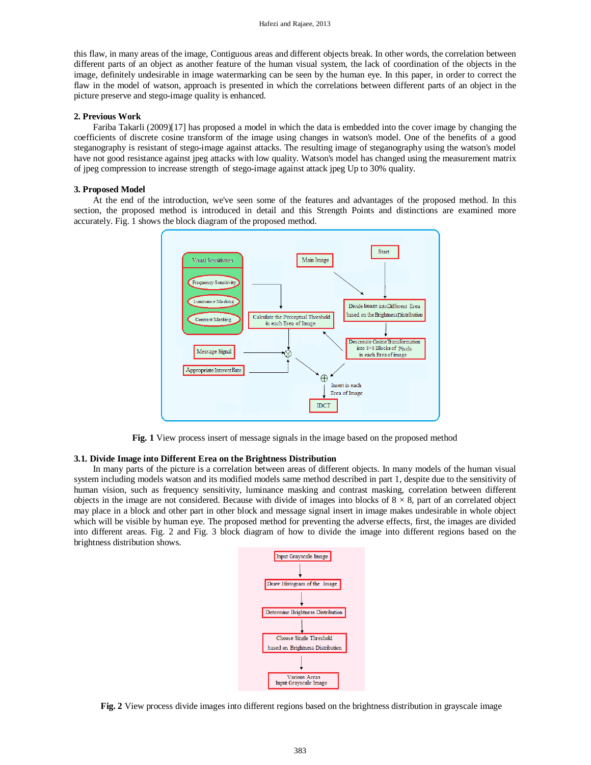this flaw, in many areas of the image, Contiguous areas and different objects break. In other words, the correlation between different parts of an object as another feature of the human visual system, the lack of coordination of the objects in the image, definitely undesirable in image watermarking can be seen by the human eye. In this paper, in order to correct the flaw in the model of watson, approach is presented in which the correlations between different parts of an object in the picture preserve and stego-image quality is enhanced.

## **2. Previous Work**

Fariba Takarli (2009)[17] has proposed a model in which the data is embedded into the cover image by changing the coefficients of discrete cosine transform of the image using changes in watson's model. One of the benefits of a good steganography is resistant of stego-image against attacks. The resulting image of steganography using the watson's model have not good resistance against jpeg attacks with low quality. Watson's model has changed using the measurement matrix of jpeg compression to increase strength of stego-image against attack jpeg Up to 30% quality.

#### **3. Proposed Model**

At the end of the introduction, we've seen some of the features and advantages of the proposed method. In this section, the proposed method is introduced in detail and this Strength Points and distinctions are examined more accurately. Fig. 1 shows the block diagram of the proposed method.



**Fig. 1** View process insert of message signals in the image based on the proposed method

#### **3.1. Divide Image into Different Erea on the Brightness Distribution**

In many parts of the picture is a correlation between areas of different objects. In many models of the human visual system including models watson and its modified models same method described in part 1, despite due to the sensitivity of human vision, such as frequency sensitivity, luminance masking and contrast masking, correlation between different objects in the image are not considered. Because with divide of images into blocks of  $8 \times 8$ , part of an correlated object may place in a block and other part in other block and message signal insert in image makes undesirable in whole object which will be visible by human eye. The proposed method for preventing the adverse effects, first, the images are divided into different areas. Fig. 2 and Fig. 3 block diagram of how to divide the image into different regions based on the brightness distribution shows.



**Fig. 2** View process divide images into different regions based on the brightness distribution in grayscale image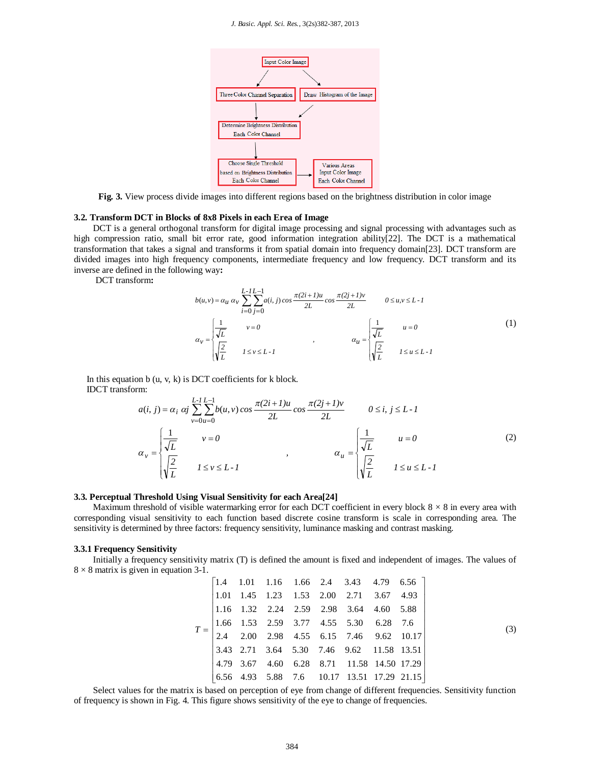#### *J. Basic. Appl. Sci. Res.*, 3(2s)382-387, 2013



**Fig. 3.** View process divide images into different regions based on the brightness distribution in color image

#### **3.2. Transform DCT in Blocks of 8x8 Pixels in each Erea of Image**

DCT is a general orthogonal transform for digital image processing and signal processing with advantages such as high compression ratio, small bit error rate, good information integration ability[22]. The DCT is a mathematical transformation that takes a signal and transforms it from spatial domain into frequency domain[23]. DCT transform are divided images into high frequency components, intermediate frequency and low frequency. DCT transform and its inverse are defined in the following way**:**

DCT transform**:**

$$
b(u,v) = \alpha_u \alpha_v \sum_{i=0}^{L-1} \sum_{j=0}^{L-1} a(i,j) \cos \frac{\pi (2i+1)u}{2L} \cos \frac{\pi (2j+1)v}{2L} \qquad 0 \le u, v \le L-1
$$
  

$$
\alpha_v = \begin{cases} \frac{1}{\sqrt{L}} & v = 0 \\ \sqrt{\frac{2}{L}} & I \le v \le L-1 \end{cases} \qquad \alpha_u = \begin{cases} \frac{1}{\sqrt{L}} & u = 0 \\ \sqrt{\frac{2}{L}} & I \le u \le L-1 \end{cases}
$$
 (1)

In this equation  $b(u, v, k)$  is DCT coefficients for  $k$  block. IDCT transform:

$$
a(i, j) = \alpha_i \alpha_j \sum_{\nu=0}^{L-1} \sum_{u=0}^{L-1} b(u, v) \cos \frac{\pi (2i+1)u}{2L} \cos \frac{\pi (2j+1)v}{2L} \qquad 0 \le i, j \le L-1
$$
  

$$
\alpha_{\nu} = \begin{cases} \frac{1}{\sqrt{L}} & \nu = 0 \\ \sqrt{\frac{2}{L}} & I \le \nu \le L-1 \end{cases} \qquad \alpha_{u} = \begin{cases} \frac{1}{\sqrt{L}} & u = 0 \\ \sqrt{\frac{2}{L}} & I \le u \le L-1 \end{cases}
$$
 (2)

#### **3.3. Perceptual Threshold Using Visual Sensitivity for each Area[24]**

Maximum threshold of visible watermarking error for each DCT coefficient in every block  $8 \times 8$  in every area with corresponding visual sensitivity to each function based discrete cosine transform is scale in corresponding area. The sensitivity is determined by three factors: frequency sensitivity, luminance masking and contrast masking.

#### **3.3.1 Frequency Sensitivity**

Initially a frequency sensitivity matrix (T) is defined the amount is fixed and independent of images. The values of  $8 \times 8$  matrix is given in equation 3-1.

|                                                                                                                                                   |  |  | $\begin{vmatrix} 1.4 & 1.01 & 1.16 & 1.66 & 2.4 & 3.43 & 4.79 & 6.56 \end{vmatrix}$          |  |  |     |
|---------------------------------------------------------------------------------------------------------------------------------------------------|--|--|----------------------------------------------------------------------------------------------|--|--|-----|
|                                                                                                                                                   |  |  | $\begin{array}{cccccccc} 1.01 & 1.45 & 1.23 & 1.53 & 2.00 & 2.71 & 3.67 & 4.93 \end{array}$  |  |  |     |
| $T = \begin{bmatrix} 1.66 & 1.53 & 2.59 & 3.77 & 4.55 & 5.30 & 6.28 & 7.6 \\ 2.4 & 2.00 & 2.98 & 4.55 & 6.15 & 7.46 & 9.62 & 10.17 \end{bmatrix}$ |  |  | $\begin{array}{ccccccccc} 1.16 & 1.32 & 2.24 & 2.59 & 2.98 & 3.64 & 4.60 & 5.88 \end{array}$ |  |  |     |
|                                                                                                                                                   |  |  |                                                                                              |  |  | (3) |
|                                                                                                                                                   |  |  |                                                                                              |  |  |     |
|                                                                                                                                                   |  |  | $\begin{bmatrix} 3.43 & 2.71 & 3.64 & 5.30 & 7.46 & 9.62 & 11.58 & 13.51 \end{bmatrix}$      |  |  |     |
|                                                                                                                                                   |  |  | $\begin{bmatrix} 4.79 & 3.67 & 4.60 & 6.28 & 8.71 & 11.58 & 14.50 & 17.29 \end{bmatrix}$     |  |  |     |
|                                                                                                                                                   |  |  | $\begin{bmatrix} 6.56 & 4.93 & 5.88 & 7.6 & 10.17 & 13.51 & 17.29 & 21.15 \end{bmatrix}$     |  |  |     |

Select values for the matrix is based on perception of eye from change of different frequencies. Sensitivity function of frequency is shown in Fig. 4. This figure shows sensitivity of the eye to change of frequencies.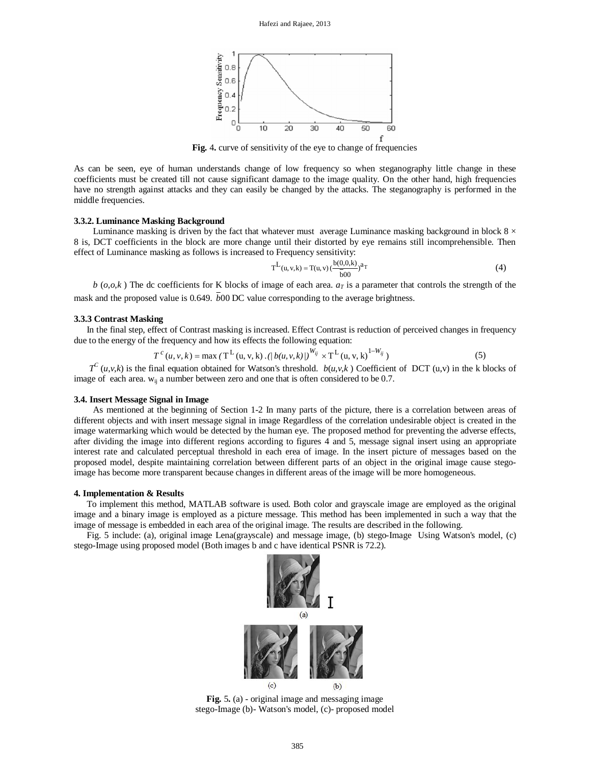

**Fig.** 4**.** curve of sensitivity of the eye to change of frequencies

As can be seen, eye of human understands change of low frequency so when steganography little change in these coefficients must be created till not cause significant damage to the image quality. On the other hand, high frequencies have no strength against attacks and they can easily be changed by the attacks. The steganography is performed in the middle frequencies.

#### **3.3.2. Luminance Masking Background**

Luminance masking is driven by the fact that whatever must average Luminance masking background in block  $8 \times$ 8 is, DCT coefficients in the block are more change until their distorted by eye remains still incomprehensible. Then effect of Luminance masking as follows is increased to Frequency sensitivity:

$$
T^{L}(u, v, k) = T(u, v) \left(\frac{b(0, 0, k)}{\bar{b}(0)}\right)^{a_T}
$$
 (4)

 $b$  (*o*,*o*,*k*) The dc coefficients for K blocks of image of each area.  $a<sub>T</sub>$  is a parameter that controls the strength of the mask and the proposed value is 0.649.  $\bar{b}00$  DC value corresponding to the average brightness.

## **3.3.3 Contrast Masking**

In the final step, effect of Contrast masking is increased. Effect Contrast is reduction of perceived changes in frequency due to the energy of the frequency and how its effects the following equation:

$$
T^{c}(u, v, k) = \max(T^{L}(u, v, k) \cdot (|b(u, v, k)|)^{W_{ij}} \times T^{L}(u, v, k)^{1-W_{ij}})
$$
(5)

 $T^C$  (*u*,*v*,*k*) is the final equation obtained for Watson's threshold. *b*(*u*,*v*,*k*) Coefficient of DCT (u,*v*) in the k blocks of image of each area.  $w_{ii}$  a number between zero and one that is often considered to be 0.7.

#### **3.4. Insert Message Signal in Image**

As mentioned at the beginning of Section 1-2 In many parts of the picture, there is a correlation between areas of different objects and with insert message signal in image Regardless of the correlation undesirable object is created in the image watermarking which would be detected by the human eye. The proposed method for preventing the adverse effects, after dividing the image into different regions according to figures 4 and 5, message signal insert using an appropriate interest rate and calculated perceptual threshold in each erea of image. In the insert picture of messages based on the proposed model, despite maintaining correlation between different parts of an object in the original image cause stegoimage has become more transparent because changes in different areas of the image will be more homogeneous.

#### **4. Implementation & Results**

To implement this method, MATLAB software is used. Both color and grayscale image are employed as the original image and a binary image is employed as a picture message. This method has been implemented in such a way that the image of message is embedded in each area of the original image. The results are described in the following.

Fig. 5 include: (a), original image Lena(grayscale) and message image, (b) stego-Image Using Watson's model, (c) stego-Image using proposed model (Both images b and c have identical PSNR is 72.2).



**Fig.** 5**.** (a) - original image and messaging image stego-Image (b)- Watson's model, (c)- proposed model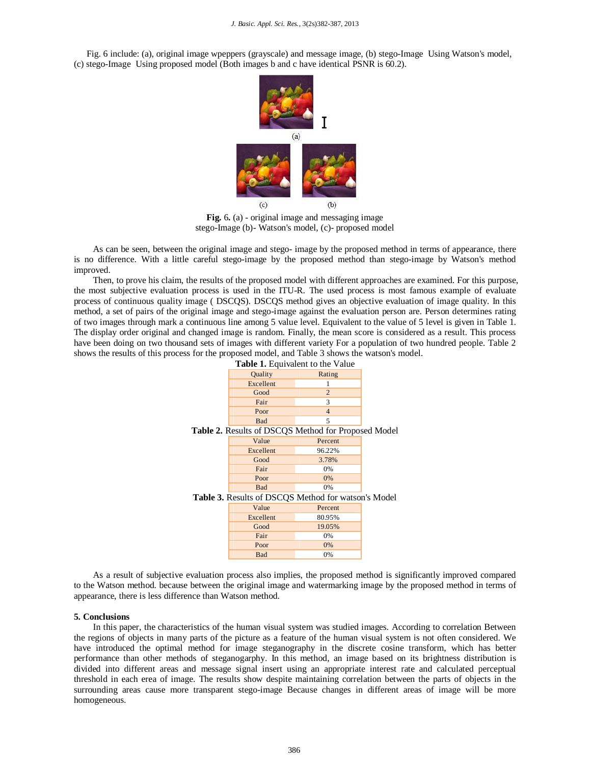#### *J. Basic. Appl. Sci. Res.*, 3(2s)382-387, 2013

Fig. 6 include: (a), original image wpeppers (grayscale) and message image, (b) stego-Image Using Watson's model, (c) stego-Image Using proposed model (Both images b and c have identical PSNR is 60.2).



**Fig.** 6**.** (a) - original image and messaging image stego-Image (b)- Watson's model, (c)- proposed model

As can be seen, between the original image and stego- image by the proposed method in terms of appearance, there is no difference. With a little careful stego-image by the proposed method than stego-image by Watson's method improved.

Then, to prove his claim, the results of the proposed model with different approaches are examined. For this purpose, the most subjective evaluation process is used in the ITU-R. The used process is most famous example of evaluate process of continuous quality image ( DSCQS). DSCQS method gives an objective evaluation of image quality. In this method, a set of pairs of the original image and stego-image against the evaluation person are. Person determines rating of two images through mark a continuous line among 5 value level. Equivalent to the value of 5 level is given in Table 1. The display order original and changed image is random. Finally, the mean score is considered as a result. This process have been doing on two thousand sets of images with different variety For a population of two hundred people. Table 2 shows the results of this process for the proposed model, and Table 3 shows the watson's model.

| <b>Table 1.</b> Equivalent to the Value             |            |                |  |  |  |  |  |  |  |  |  |
|-----------------------------------------------------|------------|----------------|--|--|--|--|--|--|--|--|--|
|                                                     | Quality    | Rating         |  |  |  |  |  |  |  |  |  |
|                                                     | Excellent  | 1              |  |  |  |  |  |  |  |  |  |
|                                                     | Good       | $\overline{2}$ |  |  |  |  |  |  |  |  |  |
|                                                     | Fair       | 3              |  |  |  |  |  |  |  |  |  |
|                                                     | Poor       | $\overline{4}$ |  |  |  |  |  |  |  |  |  |
|                                                     | <b>Bad</b> | 5              |  |  |  |  |  |  |  |  |  |
| Table 2. Results of DSCQS Method for Proposed Model |            |                |  |  |  |  |  |  |  |  |  |
|                                                     | Value      | Percent        |  |  |  |  |  |  |  |  |  |
|                                                     | Excellent  | 96.22%         |  |  |  |  |  |  |  |  |  |
|                                                     | Good       | 3.78%          |  |  |  |  |  |  |  |  |  |
|                                                     | Fair       | 0%             |  |  |  |  |  |  |  |  |  |
|                                                     | Poor       | $0\%$          |  |  |  |  |  |  |  |  |  |
|                                                     | <b>Bad</b> | 0%             |  |  |  |  |  |  |  |  |  |
| Table 3. Results of DSCQS Method for watson's Model |            |                |  |  |  |  |  |  |  |  |  |
|                                                     | Value      | Percent        |  |  |  |  |  |  |  |  |  |
|                                                     | Excellent  | 80.95%         |  |  |  |  |  |  |  |  |  |
|                                                     | Good       | 19.05%         |  |  |  |  |  |  |  |  |  |
|                                                     | Fair       | 0%             |  |  |  |  |  |  |  |  |  |
|                                                     | Poor       | $0\%$          |  |  |  |  |  |  |  |  |  |
|                                                     | <b>Bad</b> | 0%             |  |  |  |  |  |  |  |  |  |

As a result of subjective evaluation process also implies, the proposed method is significantly improved compared to the Watson method. because between the original image and watermarking image by the proposed method in terms of appearance, there is less difference than Watson method.

#### **5. Conclusions**

In this paper, the characteristics of the human visual system was studied images. According to correlation Between the regions of objects in many parts of the picture as a feature of the human visual system is not often considered. We have introduced the optimal method for image steganography in the discrete cosine transform, which has better performance than other methods of steganogarphy. In this method, an image based on its brightness distribution is divided into different areas and message signal insert using an appropriate interest rate and calculated perceptual threshold in each erea of image. The results show despite maintaining correlation between the parts of objects in the surrounding areas cause more transparent stego-image Because changes in different areas of image will be more homogeneous.